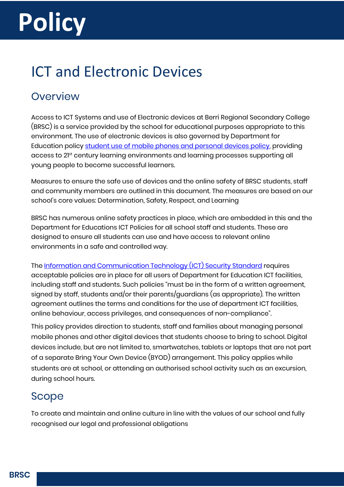# **Policy**

# <span id="page-0-0"></span>ICT and Electronic Devices

## <span id="page-0-1"></span>**Overview**

Access to ICT Systems and use of Electronic devices at Berri Regional Secondary College (BRSC) is a service provided by the school for educational purposes appropriate to this environment. The use of electronic devices is also governed by Department for Education policy [student use of mobile phones and personal devices policy,](https://edi.sa.edu.au/library/document-library/controlled-policies/student-use-of-mobile-phones-and-personal-devices-policy) providing access to 21st century learning environments and learning processes supporting all young people to become successful learners.

Measures to ensure the safe use of devices and the online safety of BRSC students, staff and community members are outlined in this document. The measures are based on our school's core values: Determination, Safety, Respect, and Learning

BRSC has numerous online safety practices in place, which are embedded in this and the Department for Educations ICT Policies for all school staff and students. These are designed to ensure all students can use and have access to relevant online environments in a safe and controlled way.

The [Information and Communication Technology \(ICT\) Security Standard](https://dfed-search.squiz.cloud/s/redirect?collection=edi-combined&url=https%3A%2F%2Fedi.sa.edu.au%2Flibrary%2Fdocument-library%2Fcontrolled-standards%2Fict-security-standard.pdf&auth=6Qe%2FYh6zFlFCOZ%2BAmj1ZVQ&profile=_default&rank=1&query=ICT+standard) requires acceptable policies are in place for all users of Department for Education ICT facilities, including staff and students. Such policies "must be in the form of a written agreement, signed by staff, students and/or their parents/guardians (as appropriate). The written agreement outlines the terms and conditions for the use of department ICT facilities, online behaviour, access privileges, and consequences of non-compliance".

This policy provides direction to students, staff and families about managing personal mobile phones and other digital devices that students choose to bring to school. Digital devices include, but are not limited to, smartwatches, tablets or laptops that are not part of a separate Bring Your Own Device (BYOD) arrangement. This policy applies while students are at school, or attending an authorised school activity such as an excursion, during school hours.

## <span id="page-0-2"></span>Scope

To create and maintain and online culture in line with the values of our school and fully recognised our legal and professional obligations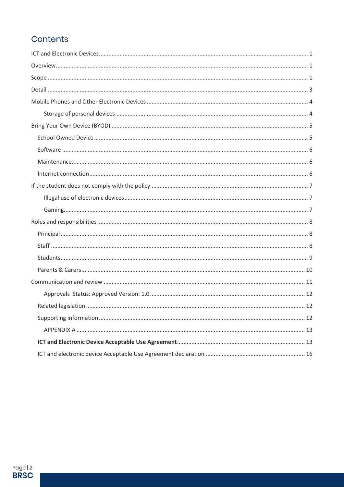## Contents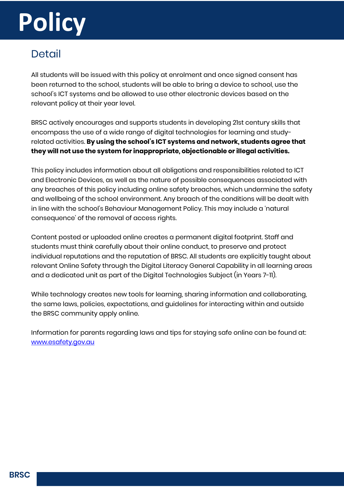# **Policy**

## <span id="page-2-0"></span>**Detail**

All students will be issued with this policy at enrolment and once signed consent has been returned to the school, students will be able to bring a device to school, use the school's ICT systems and be allowed to use other electronic devices based on the relevant policy at their year level.

BRSC actively encourages and supports students in developing 21st century skills that encompass the use of a wide range of digital technologies for learning and studyrelated activities. **By using the school's ICT systems and network, students agree that they will not use the system for inappropriate, objectionable or illegal activities.**

This policy includes information about all obligations and responsibilities related to ICT and Electronic Devices, as well as the nature of possible consequences associated with any breaches of this policy including online safety breaches, which undermine the safety and wellbeing of the school environment. Any breach of the conditions will be dealt with in line with the school's Behaviour Management Policy. This may include a 'natural consequence' of the removal of access rights.

Content posted or uploaded online creates a permanent digital footprint. Staff and students must think carefully about their online conduct, to preserve and protect individual reputations and the reputation of BRSC. All students are explicitly taught about relevant Online Safety through the Digital Literacy General Capability in all learning areas and a dedicated unit as part of the Digital Technologies Subject (in Years 7-11).

While technology creates new tools for learning, sharing information and collaborating, the same laws, policies, expectations, and guidelines for interacting within and outside the BRSC community apply online.

Information for parents regarding laws and tips for staying safe online can be found at: [www.esafety.gov.au](http://www.esafety.gov.au/)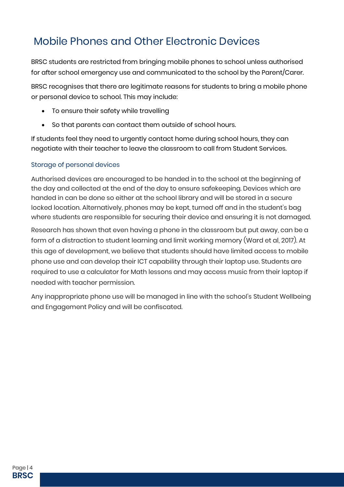# <span id="page-3-0"></span>Mobile Phones and Other Electronic Devices

BRSC students are restricted from bringing mobile phones to school unless authorised for after school emergency use and communicated to the school by the Parent/Carer.

BRSC recognises that there are legitimate reasons for students to bring a mobile phone or personal device to school. This may include:

- To ensure their safety while travelling
- So that parents can contact them outside of school hours.

If students feel they need to urgently contact home during school hours, they can negotiate with their teacher to leave the classroom to call from Student Services.

#### <span id="page-3-1"></span>Storage of personal devices

Authorised devices are encouraged to be handed in to the school at the beginning of the day and collected at the end of the day to ensure safekeeping. Devices which are handed in can be done so either at the school library and will be stored in a secure locked location. Alternatively, phones may be kept, turned off and in the student's bag where students are responsible for securing their device and ensuring it is not damaged.

Research has shown that even having a phone in the classroom but put away, can be a form of a distraction to student learning and limit working memory (Ward et al, 2017). At this age of development, we believe that students should have limited access to mobile phone use and can develop their ICT capability through their laptop use. Students are required to use a calculator for Math lessons and may access music from their laptop if needed with teacher permission.

Any inappropriate phone use will be managed in line with the school's Student Wellbeing and Engagement Policy and will be confiscated.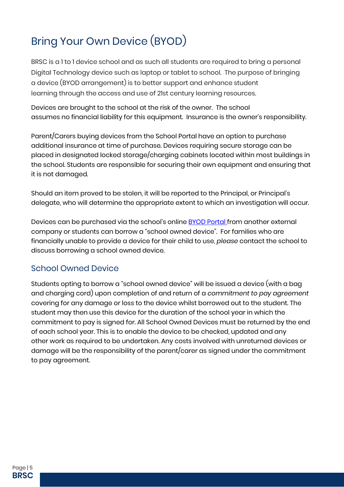# <span id="page-4-0"></span>Bring Your Own Device (BYOD)

BRSC is a 1 to 1 device school and as such all students are required to bring a personal Digital Technology device such as laptop or tablet to school. The purpose of bringing a device (BYOD arrangement) is to better support and enhance student learning through the access and use of 21st century learning resources.

Devices are brought to the school at the risk of the owner. The school assumes no financial liability for this equipment. Insurance is the owner's responsibility.

Parent/Carers buying devices from the School Portal have an option to purchase additional insurance at time of purchase. Devices requiring secure storage can be placed in designated locked storage/charging cabinets located within most buildings in the school. Students are responsible for securing their own equipment and ensuring that it is not damaged.

Should an item proved to be stolen, it will be reported to the Principal, or Principal's delegate, who will determine the appropriate extent to which an investigation will occur.

Devices can be purchased via the school's online **BYOD Portal** from another external company or students can borrow a "school owned device". For families who are financially unable to provide a device for their child to use, *please* contact the school to discuss borrowing a school owned device.

#### <span id="page-4-1"></span>School Owned Device

Students opting to borrow a "school owned device" will be issued a device (with a bag and charging cord) upon completion of and return of a *commitment to pay agreement* covering for any damage or loss to the device whilst borrowed out to the student. The student may then use this device for the duration of the school year in which the commitment to pay is signed for. All School Owned Devices must be returned by the end of each school year. This is to enable the device to be checked, updated and any other work as required to be undertaken. Any costs involved with unreturned devices or damage will be the responsibility of the parent/carer as signed under the commitment to pay agreement.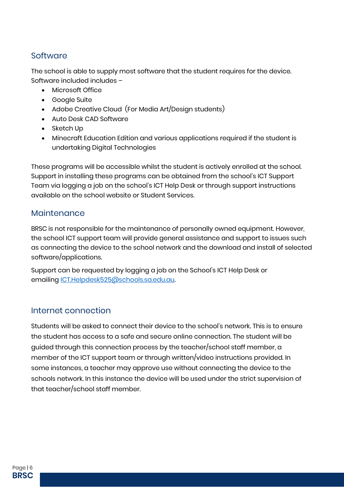#### <span id="page-5-0"></span>**Software**

The school is able to supply most software that the student requires for the device. Software included includes –

- Microsoft Office
- Google Suite
- Adobe Creative Cloud (For Media Art/Design students)
- Auto Desk CAD Software
- Sketch Up
- Minecraft Education Edition and various applications required if the student is undertaking Digital Technologies

These programs will be accessible whilst the student is actively enrolled at the school. Support in installing these programs can be obtained from the school's ICT Support Team via logging a job on the school's ICT Help Desk or through support instructions available on the school website or Student Services.

#### <span id="page-5-1"></span>Maintenance

BRSC is not responsible for the maintenance of personally owned equipment. However, the school ICT support team will provide general assistance and support to issues such as connecting the device to the school network and the download and install of selected software/applications.

Support can be requested by logging a job on the School's ICT Help Desk or emailing [ICT.Helpdesk525@schools.sa.edu.au.](mailto:ICT.Helpdesk525@schools.sa.edu.au)

#### <span id="page-5-2"></span>Internet connection

Students will be asked to connect their device to the school's network. This is to ensure the student has access to a safe and secure online connection. The student will be guided through this connection process by the teacher/school staff member, a member of the ICT support team or through written/video instructions provided. In some instances, a teacher may approve use without connecting the device to the schools network. In this instance the device will be used under the strict supervision of that teacher/school staff member.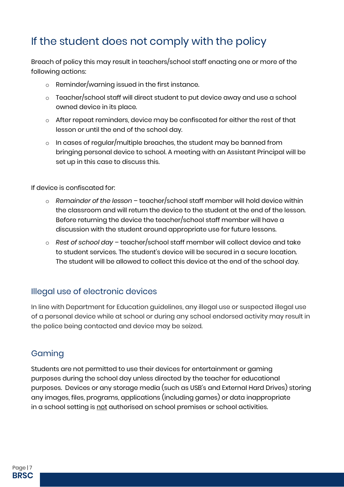# <span id="page-6-0"></span>If the student does not comply with the policy

Breach of policy this may result in teachers/school staff enacting one or more of the following actions:

- o Reminder/warning issued in the first instance.
- o Teacher/school staff will direct student to put device away and use a school owned device in its place.
- o After repeat reminders, device may be confiscated for either the rest of that lesson or until the end of the school day.
- $\circ$  In cases of regular/multiple breaches, the student may be banned from bringing personal device to school. A meeting with an Assistant Principal will be set up in this case to discuss this.

If device is confiscated for:

- o *Remainder of the lesson* teacher/school staff member will hold device within the classroom and will return the device to the student at the end of the lesson. Before returning the device the teacher/school staff member will have a discussion with the student around appropriate use for future lessons.
- o *Rest of school day* teacher/school staff member will collect device and take to student services. The student's device will be secured in a secure location. The student will be allowed to collect this device at the end of the school day.

#### <span id="page-6-1"></span>Illegal use of electronic devices

In line with Department for Education guidelines, any illegal use or suspected illegal use of a personal device while at school or during any school endorsed activity may result in the police being contacted and device may be seized.

#### <span id="page-6-2"></span>Gaming

Students are not permitted to use their devices for entertainment or gaming purposes during the school day unless directed by the teacher for educational purposes. Devices or any storage media (such as USB's and External Hard Drives) storing any images, files, programs, applications (including games) or data inappropriate in a school setting is not authorised on school premises or school activities.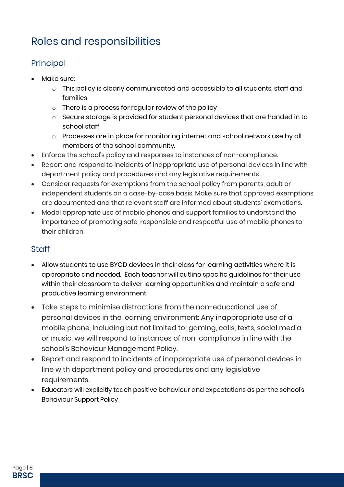# <span id="page-7-0"></span>Roles and responsibilities

## <span id="page-7-1"></span>Principal

- Make sure:
	- o This policy is clearly communicated and accessible to all students, staff and families
	- o There is a process for regular review of the policy
	- o Secure storage is provided for student personal devices that are handed in to school staff
	- o Processes are in place for monitoring internet and school network use by all members of the school community.
- Enforce the school's policy and responses to instances of non-compliance.
- Report and respond to incidents of inappropriate use of personal devices in line with department policy and procedures and any legislative requirements.
- Consider requests for exemptions from the school policy from parents, adult or independent students on a case-by-case basis. Make sure that approved exemptions are documented and that relevant staff are informed about students' exemptions.
- Model appropriate use of mobile phones and support families to understand the importance of promoting safe, responsible and respectful use of mobile phones to their children.

#### <span id="page-7-2"></span>**Staff**

- Allow students to use BYOD devices in their class for learning activities where it is appropriate and needed. Each teacher will outline specific guidelines for their use within their classroom to deliver learning opportunities and maintain a safe and productive learning environment
- Take steps to minimise distractions from the non-educational use of personal devices in the learning environment: Any inappropriate use of a mobile phone, including but not limited to; gaming, calls, texts, social media or music, we will respond to instances of non-compliance in line with the school's Behaviour Management Policy.
- Report and respond to incidents of inappropriate use of personal devices in line with department policy and procedures and any legislative requirements.
- Educators will explicitly teach positive behaviour and expectations as per the school's Behaviour Support Policy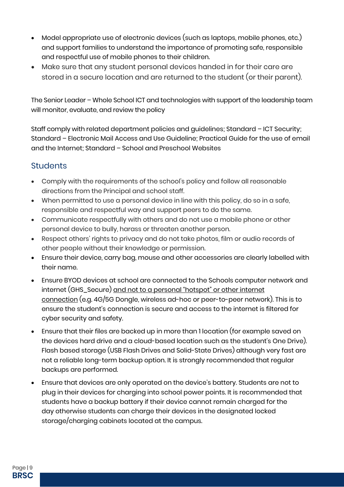- Model appropriate use of electronic devices (such as laptops, mobile phones, etc.) and support families to understand the importance of promoting safe, responsible and respectful use of mobile phones to their children.
- Make sure that any student personal devices handed in for their care are stored in a secure location and are returned to the student (or their parent).

The Senior Leader – Whole School ICT and technologies with support of the leadership team will monitor, evaluate, and review the policy

Staff comply with related department policies and guidelines; Standard – ICT Security; Standard – Electronic Mail Access and Use Guideline; Practical Guide for the use of email and the Internet; Standard – School and Preschool Websites

#### <span id="page-8-0"></span>**Students**

- Comply with the requirements of the school's policy and follow all reasonable directions from the Principal and school staff.
- When permitted to use a personal device in line with this policy, do so in a safe, responsible and respectful way and support peers to do the same.
- Communicate respectfully with others and do not use a mobile phone or other personal device to bully, harass or threaten another person.
- Respect others' rights to privacy and do not take photos, film or audio records of other people without their knowledge or permission.
- Ensure their device, carry bag, mouse and other accessories are clearly labelled with their name.
- Ensure BYOD devices at school are connected to the Schools computer network and internet (GHS\_Secure) and not to a personal "hotspot" or other internet connection (e.g. 4G/5G Dongle, wireless ad-hoc or peer-to-peer network). This is to ensure the student's connection is secure and access to the internet is filtered for cyber security and safety.
- Ensure that their files are backed up in more than 1 location (for example saved on the devices hard drive and a cloud-based location such as the student's One Drive). Flash based storage (USB Flash Drives and Solid-State Drives) although very fast are not a reliable long-term backup option. It is strongly recommended that regular backups are performed.
- Ensure that devices are only operated on the device's battery. Students are not to plug in their devices for charging into school power points. It is recommended that students have a backup battery if their device cannot remain charged for the day otherwise students can charge their devices in the designated locked storage/charging cabinets located at the campus.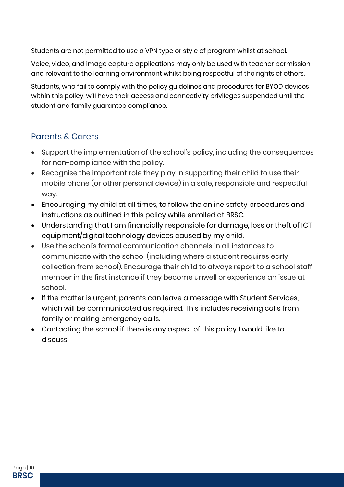Students are not permitted to use a VPN type or style of program whilst at school.

Voice, video, and image capture applications may only be used with teacher permission and relevant to the learning environment whilst being respectful of the rights of others.

Students, who fail to comply with the policy guidelines and procedures for BYOD devices within this policy, will have their access and connectivity privileges suspended until the student and family guarantee compliance.

### <span id="page-9-0"></span>Parents & Carers

- Support the implementation of the school's policy, including the consequences for non-compliance with the policy.
- Recognise the important role they play in supporting their child to use their mobile phone (or other personal device) in a safe, responsible and respectful way.
- Encouraging my child at all times, to follow the online safety procedures and instructions as outlined in this policy while enrolled at BRSC.
- Understanding that I am financially responsible for damage, loss or theft of ICT equipment/digital technology devices caused by my child.
- Use the school's formal communication channels in all instances to communicate with the school (including where a student requires early collection from school). Encourage their child to always report to a school staff member in the first instance if they become unwell or experience an issue at school.
- If the matter is urgent, parents can leave a message with Student Services, which will be communicated as required. This includes receiving calls from family or making emergency calls.
- Contacting the school if there is any aspect of this policy I would like to discuss.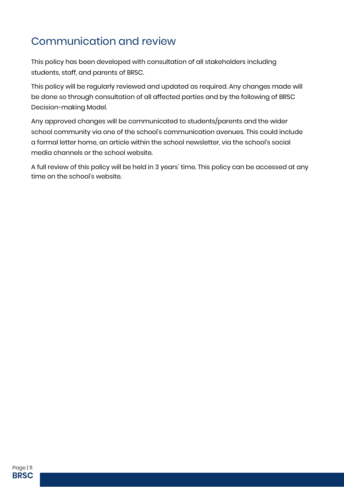# <span id="page-10-0"></span>Communication and review

This policy has been developed with consultation of all stakeholders including students, staff, and parents of BRSC.

This policy will be regularly reviewed and updated as required. Any changes made will be done so through consultation of all affected parties and by the following of BRSC Decision-making Model.

Any approved changes will be communicated to students/parents and the wider school community via one of the school's communication avenues. This could include a formal letter home, an article within the school newsletter, via the school's social media channels or the school website.

A full review of this policy will be held in 3 years' time. This policy can be accessed at any time on the school's website.

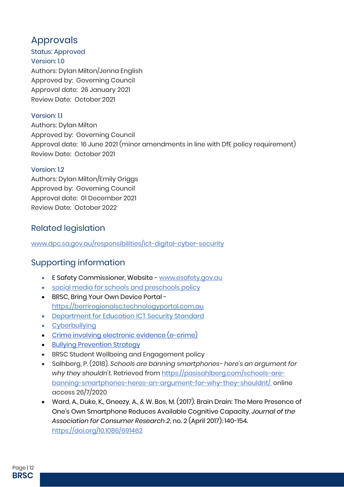## <span id="page-11-0"></span>Approvals

Status: Approved Version: 1.0 Authors: Dylan Milton/Jenna English Approved by: Governing Council Approval date: 26 January 2021 Review Date: October 2021

#### Version: 1.1

Authors: Dylan Milton Approved by: Governing Council Approval date: 16 June 2021 (minor amendments in line with DfE policy requirement) Review Date: October 2021

#### Version: 1.2

Authors: Dylan Milton/Emily Griggs Approved by: Governing Council Approval date: 01 December 2021 Review Date: October 2022

#### <span id="page-11-1"></span>Related legislation

[www.dpc.sa.gov.au/responsibilities/ict-digital-cyber-security](http://www.dpc.sa.gov.au/responsibilities/ict-digital-cyber-security)

## <span id="page-11-2"></span>Supporting information

- **E Safety Commissioner, Website [www.esafety.gov.au](http://www.esafety.gov.au/)**
- [social media for schools and preschools policy](https://edi.sa.edu.au/library/document-library/controlled-policies/social-media-for-schools-and-preschools-policy)
- BRSC, Bring Your Own Device Portal [https://berriregionalsc.technologyportal.com.au](https://berriregionalsc.technologyportal.com.au/)
- [Department for Education ICT Security Standard](https://dfed-search.squiz.cloud/s/redirect?collection=edi-combined&url=https%3A%2F%2Fedi.sa.edu.au%2Flibrary%2Fdocument-library%2Fcontrolled-standards%2Fict-security-standard.pdf&auth=6Qe%2FYh6zFlFCOZ%2BAmj1ZVQ&profile=_default&rank=1&query=ICT+standard)
- [Cyberbullying](https://edi.sa.edu.au/supporting-children/behaviour-and-attendance/bullying/cyberbullying)
- [Crime involving electronic evidence \(e-crime\)](https://edi.sa.edu.au/operations-and-management/communications/social-media-and-web/cybersafety/e-crime)
- **[Bullying Prevention Strategy](https://edi.sa.edu.au/supporting-children/behaviour-and-attendance/bullying/bullying-prevention-strategy)**
- **BRSC Student Wellbeing and Engagement policy**
- Salhberg, P. (2018). *Schools are banning smartphones- here's an argument for why they shouldn't.* Retrieved fro[m https://pasisahlberg.com/schools-are](https://pasisahlberg.com/schools-are-banning-smartphones-heres-an-argument-for-why-they-shouldnt/)[banning-smartphones-heres-an-argument-for-why-they-shouldnt/,](https://pasisahlberg.com/schools-are-banning-smartphones-heres-an-argument-for-why-they-shouldnt/) online access 26/7/2020
- Ward, A., Duke, K., Gneezy, A., & W. Bos, M. (2017). Brain Drain: The Mere Presence of One's Own Smartphone Reduces Available Cognitive Capacity, *Journal of the Association for Consumer Research 2*, no. 2 (April 2017): 140-154. <https://doi.org/10.1086/691462>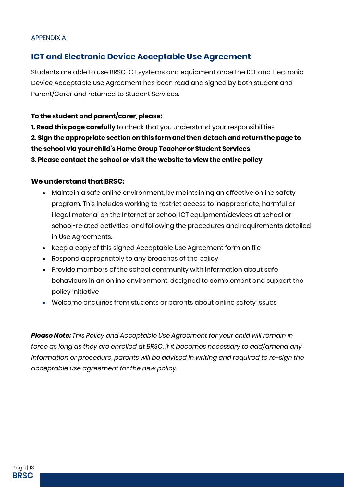#### <span id="page-12-0"></span>APPENDIX A

#### <span id="page-12-1"></span>**ICT and Electronic Device Acceptable Use Agreement**

Students are able to use BRSC ICT systems and equipment once the ICT and Electronic Device Acceptable Use Agreement has been read and signed by both student and Parent/Carer and returned to Student Services.

#### **To the student and parent/carer, please:**

**1. Read this page carefully** to check that you understand your responsibilities **2. Sign the appropriate section on this form and then detach and return the page to the school via your child's Home Group Teacher or Student Services 3. Please contact the school or visit the website to view the entire policy**

#### **We understand that BRSC:**

- Maintain a safe online environment, by maintaining an effective online safety program. This includes working to restrict access to inappropriate, harmful or illegal material on the Internet or school ICT equipment/devices at school or school-related activities, and following the procedures and requirements detailed in Use Agreements.
- Keep a copy of this signed Acceptable Use Agreement form on file
- Respond appropriately to any breaches of the policy
- Provide members of the school community with information about safe behaviours in an online environment, designed to complement and support the policy initiative
- Welcome enquiries from students or parents about online safety issues

*Please Note: This Policy and Acceptable Use Agreement for your child will remain in force as long as they are enrolled at BRSC. If it becomes necessary to add/amend any information or procedure, parents will be advised in writing and required to re-sign the acceptable use agreement for the new policy.*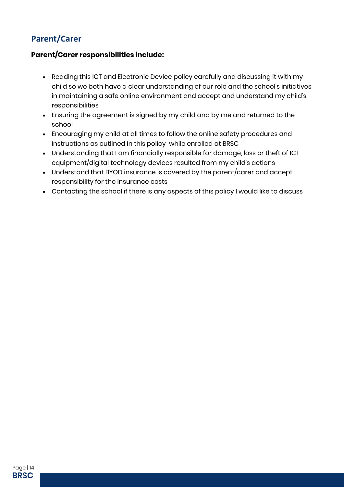## **Parent/Carer**

#### **Parent/Carer responsibilities include:**

- Reading this ICT and Electronic Device policy carefully and discussing it with my child so we both have a clear understanding of our role and the school's initiatives in maintaining a safe online environment and accept and understand my child's responsibilities
- Ensuring the agreement is signed by my child and by me and returned to the school
- Encouraging my child at all times to follow the online safety procedures and instructions as outlined in this policy while enrolled at BRSC
- Understanding that I am financially responsible for damage, loss or theft of ICT equipment/digital technology devices resulted from my child's actions
- Understand that BYOD insurance is covered by the parent/carer and accept responsibility for the insurance costs
- Contacting the school if there is any aspects of this policy I would like to discuss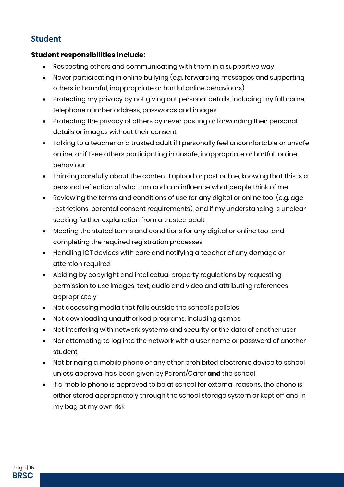### **Student**

#### **Student responsibilities include:**

- Respecting others and communicating with them in a supportive way
- Never participating in online bullying (e.g. forwarding messages and supporting others in harmful, inappropriate or hurtful online behaviours)
- Protecting my privacy by not giving out personal details, including my full name, telephone number address, passwords and images
- Protecting the privacy of others by never posting or forwarding their personal details or images without their consent
- Talking to a teacher or a trusted adult if I personally feel uncomfortable or unsafe online, or if I see others participating in unsafe, inappropriate or hurtful online behaviour
- Thinking carefully about the content I upload or post online, knowing that this is a personal reflection of who I am and can influence what people think of me
- Reviewing the terms and conditions of use for any digital or online tool (e.g. age restrictions, parental consent requirements), and if my understanding is unclear seeking further explanation from a trusted adult
- Meeting the stated terms and conditions for any digital or online tool and completing the required registration processes
- Handling ICT devices with care and notifying a teacher of any damage or attention required
- Abiding by copyright and intellectual property regulations by requesting permission to use images, text, audio and video and attributing references appropriately
- Not accessing media that falls outside the school's policies
- Not downloading unauthorised programs, including games
- Not interfering with network systems and security or the data of another user
- Nor attempting to log into the network with a user name or password of another student
- Not bringing a mobile phone or any other prohibited electronic device to school unless approval has been given by Parent/Carer **and** the school
- If a mobile phone is approved to be at school for external reasons, the phone is either stored appropriately through the school storage system or kept off and in my bag at my own risk